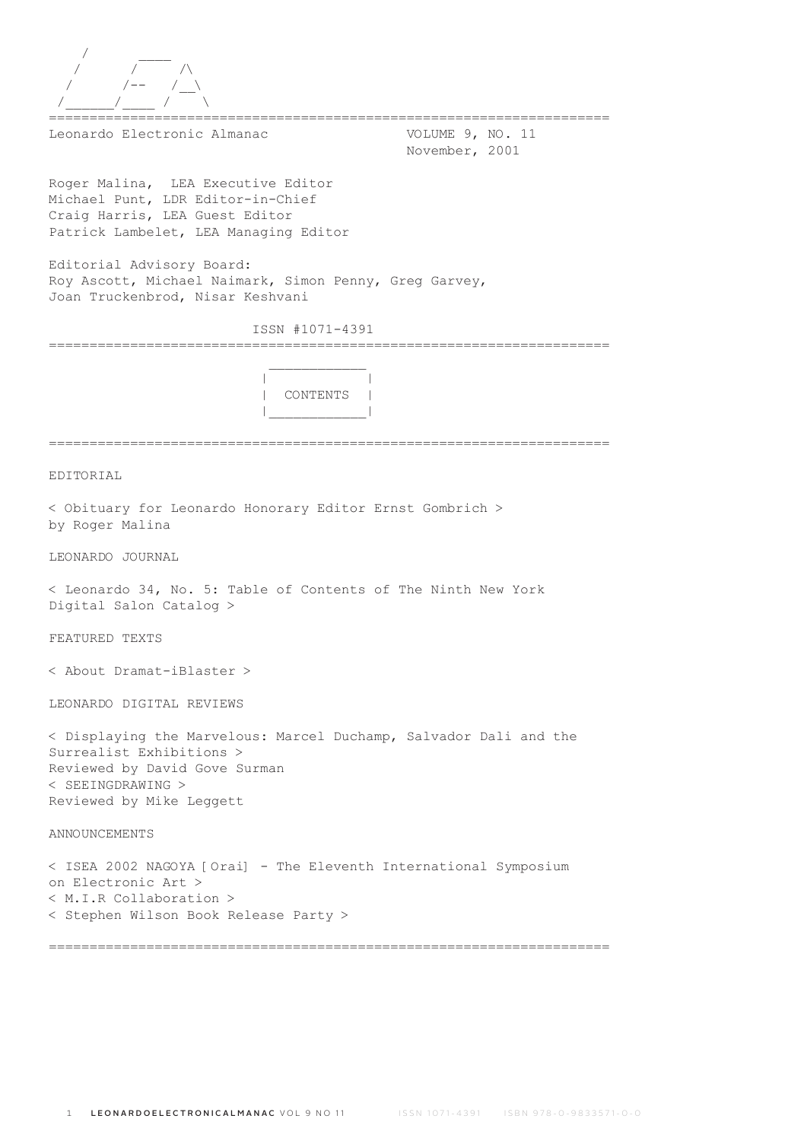| Leonardo Electronic Almanac<br>VOLUME 9, NO. 11<br>November, 2001                                                                                                                   |
|-------------------------------------------------------------------------------------------------------------------------------------------------------------------------------------|
| Roger Malina, LEA Executive Editor<br>Michael Punt, LDR Editor-in-Chief<br>Craiq Harris, LEA Guest Editor<br>Patrick Lambelet, LEA Managing Editor                                  |
| Editorial Advisory Board:<br>Roy Ascott, Michael Naimark, Simon Penny, Greg Garvey,<br>Joan Truckenbrod, Nisar Keshvani                                                             |
| ISSN #1071-4391                                                                                                                                                                     |
| CONTENTS                                                                                                                                                                            |
|                                                                                                                                                                                     |
| EDITORIAL                                                                                                                                                                           |
| < Obituary for Leonardo Honorary Editor Ernst Gombrich ><br>by Roger Malina                                                                                                         |
| LEONARDO JOURNAL                                                                                                                                                                    |
| < Leonardo 34, No. 5: Table of Contents of The Ninth New York<br>Digital Salon Catalog >                                                                                            |
| FEATURED TEXTS                                                                                                                                                                      |
| < About Dramat-iBlaster >                                                                                                                                                           |
| LEONARDO DIGITAL REVIEWS                                                                                                                                                            |
| < Displaying the Marvelous: Marcel Duchamp, Salvador Dali and the<br>Surrealist Exhibitions ><br>Reviewed by David Gove Surman<br>$<$ SEEINGDRAWING $>$<br>Reviewed by Mike Leggett |
| ANNOUNCEMENTS                                                                                                                                                                       |
| < ISEA 2002 NAGOYA [Orai] - The Eleventh International Symposium<br>on Electronic Art ><br>$\langle$ M.I.R Collaboration $\rangle$<br>< Stephen Wilson Book Release Party >         |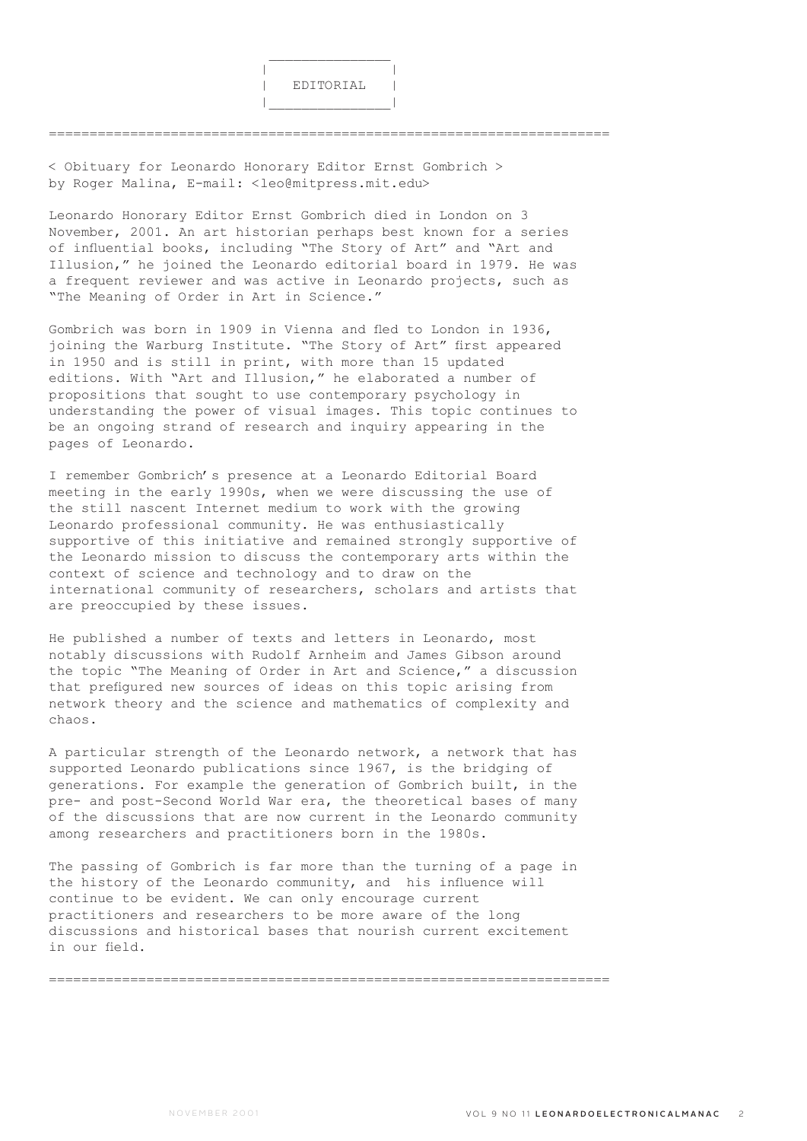

=====================================================================

< Obituary for Leonardo Honorary Editor Ernst Gombrich > by Roger Malina, E-mail: <leo@mitpress.mit.edu>

Leonardo Honorary Editor Ernst Gombrich died in London on 3 November, 2001. An art historian perhaps best known for a series of influential books, including "The Story of Art" and "Art and Illusion," he joined the Leonardo editorial board in 1979. He was a frequent reviewer and was active in Leonardo projects, such as "The Meaning of Order in Art in Science."

Gombrich was born in 1909 in Vienna and fled to London in 1936, joining the Warburg Institute. "The Story of Art" first appeared in 1950 and is still in print, with more than 15 updated editions. With "Art and Illusion," he elaborated a number of propositions that sought to use contemporary psychology in understanding the power of visual images. This topic continues to be an ongoing strand of research and inquiry appearing in the pages of Leonardo.

I remember Gombrich's presence at a Leonardo Editorial Board meeting in the early 1990s, when we were discussing the use of the still nascent Internet medium to work with the growing Leonardo professional community. He was enthusiastically supportive of this initiative and remained strongly supportive of the Leonardo mission to discuss the contemporary arts within the context of science and technology and to draw on the international community of researchers, scholars and artists that are preoccupied by these issues.

He published a number of texts and letters in Leonardo, most notably discussions with Rudolf Arnheim and James Gibson around the topic "The Meaning of Order in Art and Science," a discussion that prefigured new sources of ideas on this topic arising from network theory and the science and mathematics of complexity and chaos.

A particular strength of the Leonardo network, a network that has supported Leonardo publications since 1967, is the bridging of generations. For example the generation of Gombrich built, in the pre- and post-Second World War era, the theoretical bases of many of the discussions that are now current in the Leonardo community among researchers and practitioners born in the 1980s.

The passing of Gombrich is far more than the turning of a page in the history of the Leonardo community, and his influence will continue to be evident. We can only encourage current practitioners and researchers to be more aware of the long discussions and historical bases that nourish current excitement in our field.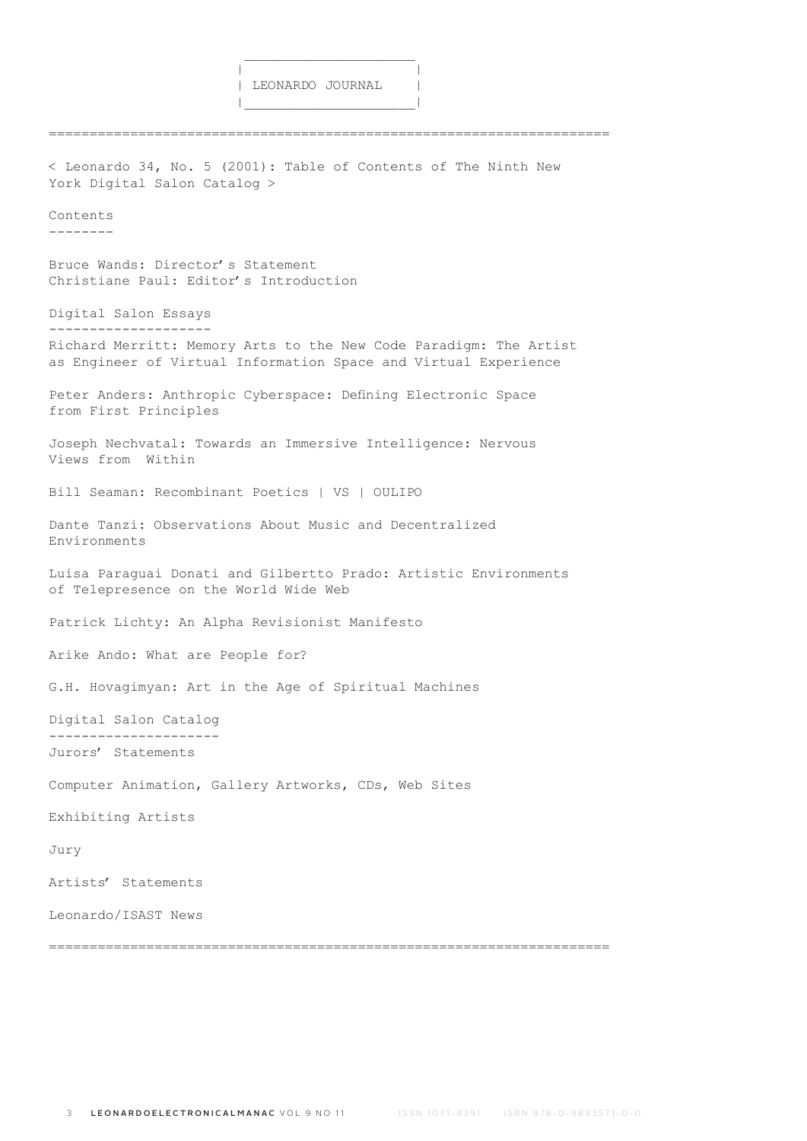$\frac{1}{2}$  , and the set of the set of the set of the set of the set of the set of the set of the set of the set of the set of the set of the set of the set of the set of the set of the set of the set of the set of the set

|\_\_\_\_\_\_\_\_\_\_\_\_\_\_\_\_\_\_\_\_\_|

===================================================================== < Leonardo 34, No. 5 (2001): Table of Contents of The Ninth New York Digital Salon Catalog > Contents -------- Bruce Wands: Director's Statement Christiane Paul: Editor's Introduction Digital Salon Essays -------------------- Richard Merritt: Memory Arts to the New Code Paradigm: The Artist as Engineer of Virtual Information Space and Virtual Experience Peter Anders: Anthropic Cyberspace: Defining Electronic Space from First Principles Joseph Nechvatal: Towards an Immersive Intelligence: Nervous Views from Within Bill Seaman: Recombinant Poetics | VS | OULIPO Dante Tanzi: Observations About Music and Decentralized Environments Luisa Paraguai Donati and Gilbertto Prado: Artistic Environments of Telepresence on the World Wide Web Patrick Lichty: An Alpha Revisionist Manifesto Arike Ando: What are People for? G.H. Hovagimyan: Art in the Age of Spiritual Machines Digital Salon Catalog --------------------- Jurors' Statements Computer Animation, Gallery Artworks, CDs, Web Sites Exhibiting Artists Jury Artists' Statements Leonardo/ISAST News

=====================================================================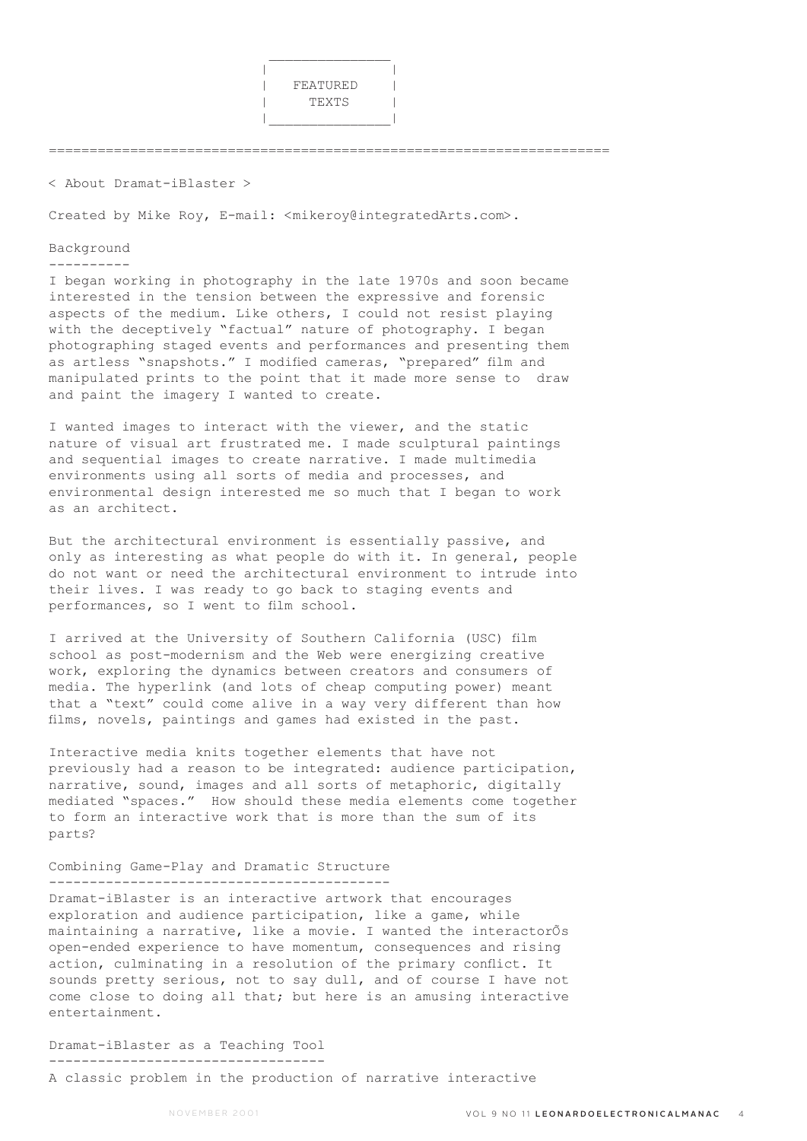

=====================================================================

< About Dramat-iBlaster >

Created by Mike Roy, E-mail: <mikeroy@integratedArts.com>.

## Background

----------

I began working in photography in the late 1970s and soon became interested in the tension between the expressive and forensic aspects of the medium. Like others, I could not resist playing with the deceptively "factual" nature of photography. I began photographing staged events and performances and presenting them as artless "snapshots." I modified cameras, "prepared" film and manipulated prints to the point that it made more sense to draw and paint the imagery I wanted to create.

I wanted images to interact with the viewer, and the static nature of visual art frustrated me. I made sculptural paintings and sequential images to create narrative. I made multimedia environments using all sorts of media and processes, and environmental design interested me so much that I began to work as an architect.

But the architectural environment is essentially passive, and only as interesting as what people do with it. In general, people do not want or need the architectural environment to intrude into their lives. I was ready to go back to staging events and performances, so I went to film school.

I arrived at the University of Southern California (USC) film school as post-modernism and the Web were energizing creative work, exploring the dynamics between creators and consumers of media. The hyperlink (and lots of cheap computing power) meant that a "text" could come alive in a way very different than how films, novels, paintings and games had existed in the past.

Interactive media knits together elements that have not previously had a reason to be integrated: audience participation, narrative, sound, images and all sorts of metaphoric, digitally mediated "spaces." How should these media elements come together to form an interactive work that is more than the sum of its parts?

#### Combining Game-Play and Dramatic Structure ------------------------------------------

Dramat-iBlaster is an interactive artwork that encourages exploration and audience participation, like a game, while maintaining a narrative, like a movie. I wanted the interactorÕs open-ended experience to have momentum, consequences and rising action, culminating in a resolution of the primary conflict. It sounds pretty serious, not to say dull, and of course I have not come close to doing all that; but here is an amusing interactive entertainment.

### Dramat-iBlaster as a Teaching Tool ----------------------------------

A classic problem in the production of narrative interactive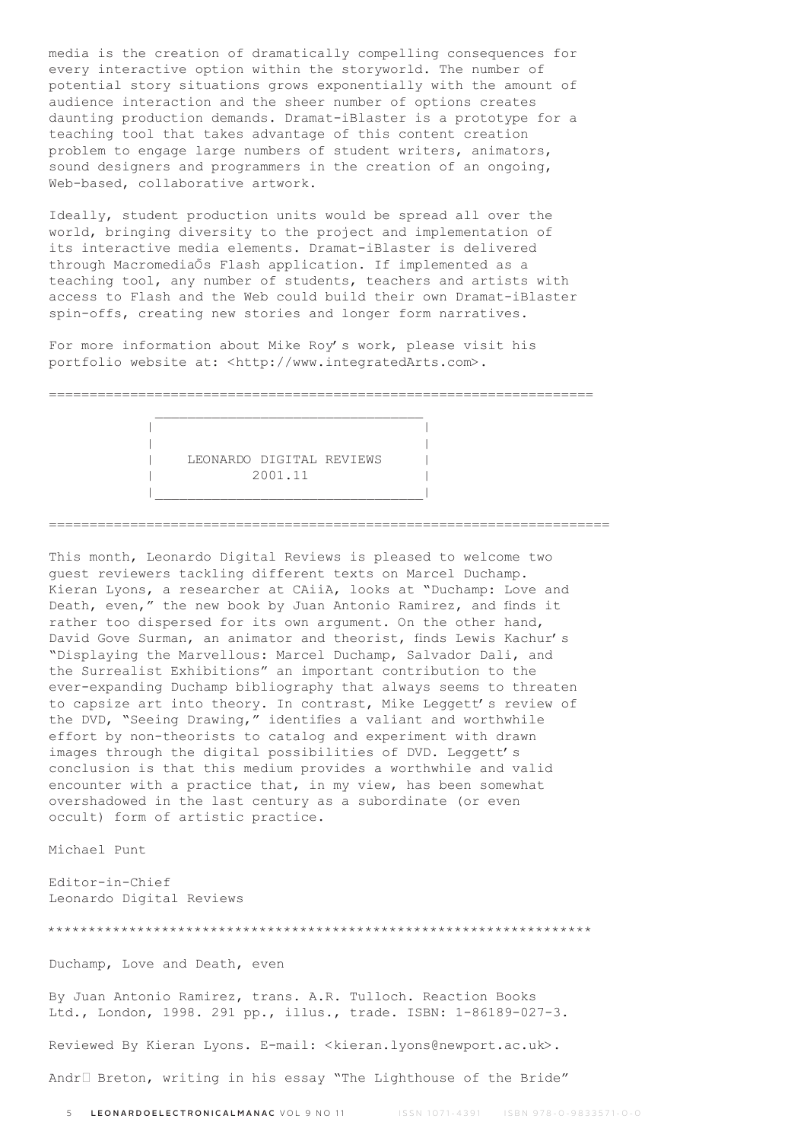media is the creation of dramatically compelling consequences for every interactive option within the storyworld. The number of potential story situations grows exponentially with the amount of audience interaction and the sheer number of options creates daunting production demands. Dramat-iBlaster is a prototype for a teaching tool that takes advantage of this content creation problem to engage large numbers of student writers, animators, sound designers and programmers in the creation of an ongoing, Web-based, collaborative artwork.

Ideally, student production units would be spread all over the world, bringing diversity to the project and implementation of its interactive media elements. Dramat-iBlaster is delivered through MacromediaÕs Flash application. If implemented as a teaching tool, any number of students, teachers and artists with access to Flash and the Web could build their own Dramat-iBlaster spin-offs, creating new stories and longer form narratives.

For more information about Mike Roy's work, please visit his portfolio website at: <http://www.integratedArts.com>.

===================================================================  $\mathcal{L}_\text{max}$  and  $\mathcal{L}_\text{max}$  and  $\mathcal{L}_\text{max}$  and  $\mathcal{L}_\text{max}$ 

=====================================================================

 | | | | LEONARDO DIGITAL REVIEWS | 2001.11 |

|\_\_\_\_\_\_\_\_\_\_\_\_\_\_\_\_\_\_\_\_\_\_\_\_\_\_\_\_\_\_\_\_\_|

This month, Leonardo Digital Reviews is pleased to welcome two guest reviewers tackling different texts on Marcel Duchamp. Kieran Lyons, a researcher at CAiiA, looks at "Duchamp: Love and Death, even," the new book by Juan Antonio Ramirez, and finds it rather too dispersed for its own argument. On the other hand, David Gove Surman, an animator and theorist, finds Lewis Kachur's "Displaying the Marvellous: Marcel Duchamp, Salvador Dali, and the Surrealist Exhibitions" an important contribution to the ever-expanding Duchamp bibliography that always seems to threaten to capsize art into theory. In contrast, Mike Leggett's review of the DVD, "Seeing Drawing," identifies a valiant and worthwhile effort by non-theorists to catalog and experiment with drawn images through the digital possibilities of DVD. Leggett's conclusion is that this medium provides a worthwhile and valid encounter with a practice that, in my view, has been somewhat overshadowed in the last century as a subordinate (or even occult) form of artistic practice.

Michael Punt

Editor-in-Chief Leonardo Digital Reviews

\*\*\*\*\*\*\*\*\*\*\*\*\*\*\*\*\*\*\*\*\*\*\*\*\*\*\*\*\*\*\*\*\*\*\*\*\*\*\*\*\*\*\*\*\*\*\*\*\*\*\*\*\*\*\*\*\*\*\*\*\*\*\*\*\*\*\*

Duchamp, Love and Death, even

By Juan Antonio Ramirez, trans. A.R. Tulloch. Reaction Books Ltd., London, 1998. 291 pp., illus., trade. ISBN: 1-86189-027-3.

Reviewed By Kieran Lyons. E-mail: <kieran.lyons@newport.ac.uk>.

AndrŽ Breton, writing in his essay "The Lighthouse of the Bride"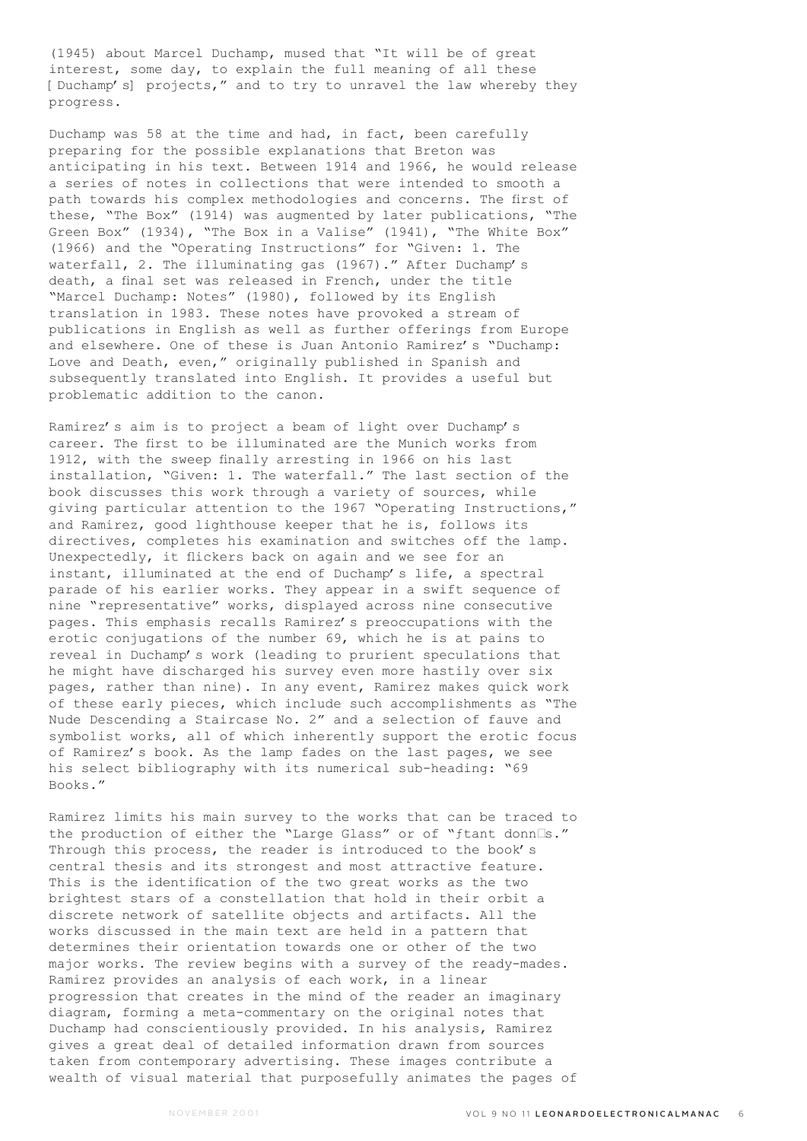(1945) about Marcel Duchamp, mused that "It will be of great interest, some day, to explain the full meaning of all these [Duchamp's] projects," and to try to unravel the law whereby they progress.

Duchamp was 58 at the time and had, in fact, been carefully preparing for the possible explanations that Breton was anticipating in his text. Between 1914 and 1966, he would release a series of notes in collections that were intended to smooth a path towards his complex methodologies and concerns. The first of these, "The Box" (1914) was augmented by later publications, "The Green Box" (1934), "The Box in a Valise" (1941), "The White Box" (1966) and the "Operating Instructions" for "Given: 1. The waterfall, 2. The illuminating gas (1967)." After Duchamp's death, a final set was released in French, under the title "Marcel Duchamp: Notes" (1980), followed by its English translation in 1983. These notes have provoked a stream of publications in English as well as further offerings from Europe and elsewhere. One of these is Juan Antonio Ramirez's "Duchamp: Love and Death, even," originally published in Spanish and subsequently translated into English. It provides a useful but problematic addition to the canon.

Ramirez's aim is to project a beam of light over Duchamp's career. The first to be illuminated are the Munich works from 1912, with the sweep finally arresting in 1966 on his last installation, "Given: 1. The waterfall." The last section of the book discusses this work through a variety of sources, while giving particular attention to the 1967 "Operating Instructions," and Ramirez, good lighthouse keeper that he is, follows its directives, completes his examination and switches off the lamp. Unexpectedly, it flickers back on again and we see for an instant, illuminated at the end of Duchamp's life, a spectral parade of his earlier works. They appear in a swift sequence of nine "representative" works, displayed across nine consecutive pages. This emphasis recalls Ramirez's preoccupations with the erotic conjugations of the number 69, which he is at pains to reveal in Duchamp's work (leading to prurient speculations that he might have discharged his survey even more hastily over six pages, rather than nine). In any event, Ramirez makes quick work of these early pieces, which include such accomplishments as "The Nude Descending a Staircase No. 2" and a selection of fauve and symbolist works, all of which inherently support the erotic focus of Ramirez's book. As the lamp fades on the last pages, we see his select bibliography with its numerical sub-heading: "69 Books."

Ramirez limits his main survey to the works that can be traced to the production of either the "Large Glass" or of "ftant donn<sup>[]</sup>s." Through this process, the reader is introduced to the book's central thesis and its strongest and most attractive feature. This is the identification of the two great works as the two brightest stars of a constellation that hold in their orbit a discrete network of satellite objects and artifacts. All the works discussed in the main text are held in a pattern that determines their orientation towards one or other of the two major works. The review begins with a survey of the ready-mades. Ramirez provides an analysis of each work, in a linear progression that creates in the mind of the reader an imaginary diagram, forming a meta-commentary on the original notes that Duchamp had conscientiously provided. In his analysis, Ramirez gives a great deal of detailed information drawn from sources taken from contemporary advertising. These images contribute a wealth of visual material that purposefully animates the pages of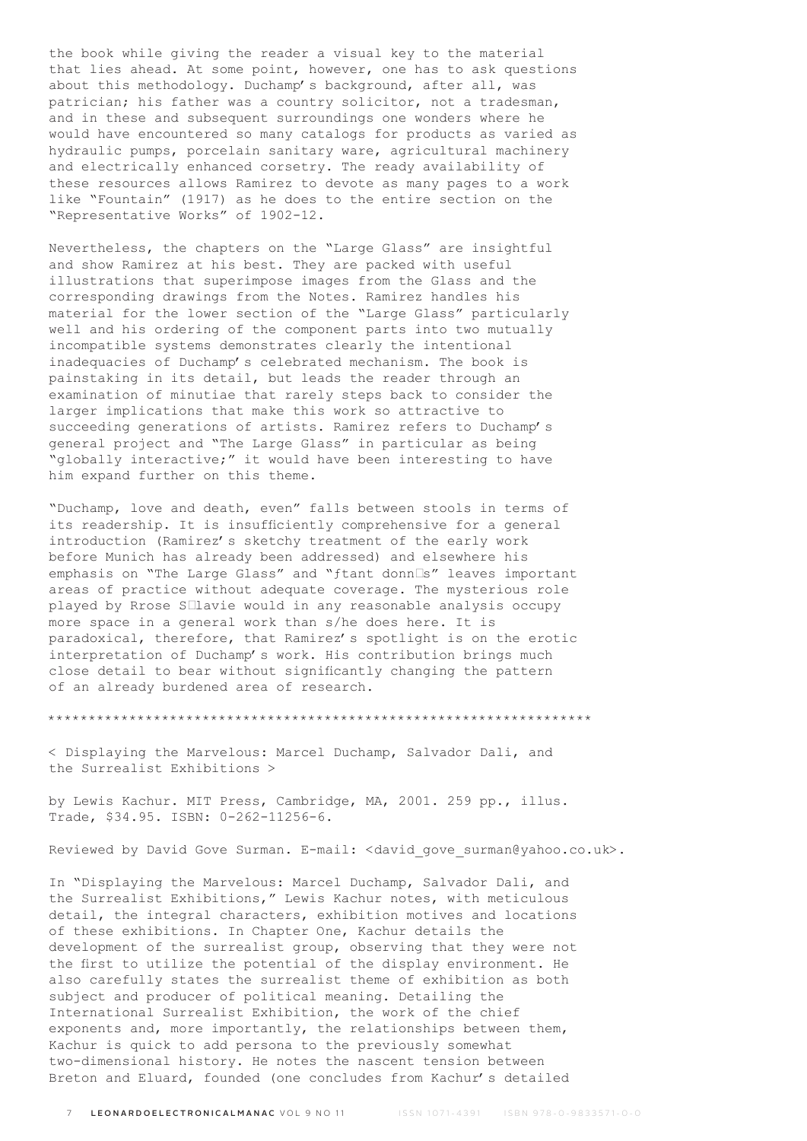the book while giving the reader a visual key to the material that lies ahead. At some point, however, one has to ask questions about this methodology. Duchamp's background, after all, was patrician; his father was a country solicitor, not a tradesman, and in these and subsequent surroundings one wonders where he would have encountered so many catalogs for products as varied as hydraulic pumps, porcelain sanitary ware, agricultural machinery and electrically enhanced corsetry. The ready availability of these resources allows Ramirez to devote as many pages to a work like "Fountain" (1917) as he does to the entire section on the "Representative Works" of 1902-12.

Nevertheless, the chapters on the "Large Glass" are insightful and show Ramirez at his best. They are packed with useful illustrations that superimpose images from the Glass and the corresponding drawings from the Notes. Ramirez handles his material for the lower section of the "Large Glass" particularly well and his ordering of the component parts into two mutually incompatible systems demonstrates clearly the intentional inadequacies of Duchamp's celebrated mechanism. The book is painstaking in its detail, but leads the reader through an examination of minutiae that rarely steps back to consider the larger implications that make this work so attractive to succeeding generations of artists. Ramirez refers to Duchamp's general project and "The Large Glass" in particular as being "globally interactive;" it would have been interesting to have him expand further on this theme.

"Duchamp, love and death, even" falls between stools in terms of its readership. It is insufficiently comprehensive for a general introduction (Ramirez's sketchy treatment of the early work before Munich has already been addressed) and elsewhere his emphasis on "The Large Glass" and "ftant donn□s" leaves important areas of practice without adequate coverage. The mysterious role played by Rrose S<sup>llavie</sup> would in any reasonable analysis occupy more space in a general work than s/he does here. It is paradoxical, therefore, that Ramirez's spotlight is on the erotic interpretation of Duchamp's work. His contribution brings much close detail to bear without significantly changing the pattern of an already burdened area of research.

\*\*\*\*\*\*\*\*\*\*\*\*\*\*\*\*\*\*\*\*\*\*\*\*\*\*\*\*\*\*\*\*\*\*\*\*\*\*\*\*\*\*\*\*\*\*\*\*\*\*\*\*\*\*\*\*\*\*\*\*\*\*\*\*\*\*\*

< Displaying the Marvelous: Marcel Duchamp, Salvador Dali, and the Surrealist Exhibitions >

by Lewis Kachur. MIT Press, Cambridge, MA, 2001. 259 pp., illus. Trade, \$34.95. ISBN: 0-262-11256-6.

Reviewed by David Gove Surman. E-mail: <david\_gove\_surman@yahoo.co.uk>.

In "Displaying the Marvelous: Marcel Duchamp, Salvador Dali, and the Surrealist Exhibitions," Lewis Kachur notes, with meticulous detail, the integral characters, exhibition motives and locations of these exhibitions. In Chapter One, Kachur details the development of the surrealist group, observing that they were not the first to utilize the potential of the display environment. He also carefully states the surrealist theme of exhibition as both subject and producer of political meaning. Detailing the International Surrealist Exhibition, the work of the chief exponents and, more importantly, the relationships between them, Kachur is quick to add persona to the previously somewhat two-dimensional history. He notes the nascent tension between Breton and Eluard, founded (one concludes from Kachur's detailed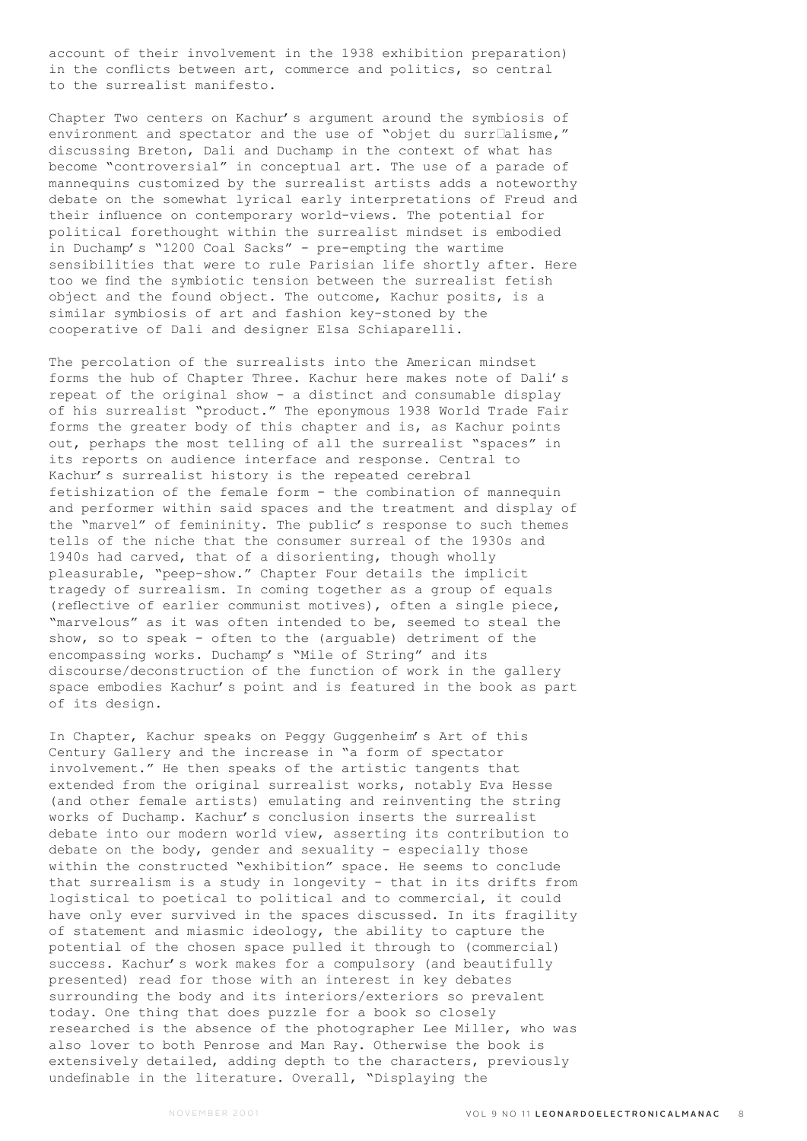account of their involvement in the 1938 exhibition preparation) in the conflicts between art, commerce and politics, so central to the surrealist manifesto.

Chapter Two centers on Kachur's argument around the symbiosis of environment and spectator and the use of "objet du surr $\square$ alisme," discussing Breton, Dali and Duchamp in the context of what has become "controversial" in conceptual art. The use of a parade of mannequins customized by the surrealist artists adds a noteworthy debate on the somewhat lyrical early interpretations of Freud and their influence on contemporary world-views. The potential for political forethought within the surrealist mindset is embodied in Duchamp's "1200 Coal Sacks" - pre-empting the wartime sensibilities that were to rule Parisian life shortly after. Here too we find the symbiotic tension between the surrealist fetish object and the found object. The outcome, Kachur posits, is a similar symbiosis of art and fashion key-stoned by the cooperative of Dali and designer Elsa Schiaparelli.

The percolation of the surrealists into the American mindset forms the hub of Chapter Three. Kachur here makes note of Dali's repeat of the original show - a distinct and consumable display of his surrealist "product." The eponymous 1938 World Trade Fair forms the greater body of this chapter and is, as Kachur points out, perhaps the most telling of all the surrealist "spaces" in its reports on audience interface and response. Central to Kachur's surrealist history is the repeated cerebral fetishization of the female form - the combination of mannequin and performer within said spaces and the treatment and display of the "marvel" of femininity. The public's response to such themes tells of the niche that the consumer surreal of the 1930s and 1940s had carved, that of a disorienting, though wholly pleasurable, "peep-show." Chapter Four details the implicit tragedy of surrealism. In coming together as a group of equals (reflective of earlier communist motives), often a single piece, "marvelous" as it was often intended to be, seemed to steal the show, so to speak - often to the (arguable) detriment of the encompassing works. Duchamp's "Mile of String" and its discourse/deconstruction of the function of work in the gallery space embodies Kachur's point and is featured in the book as part of its design.

In Chapter, Kachur speaks on Peggy Guggenheim's Art of this Century Gallery and the increase in "a form of spectator involvement." He then speaks of the artistic tangents that extended from the original surrealist works, notably Eva Hesse (and other female artists) emulating and reinventing the string works of Duchamp. Kachur's conclusion inserts the surrealist debate into our modern world view, asserting its contribution to debate on the body, gender and sexuality - especially those within the constructed "exhibition" space. He seems to conclude that surrealism is a study in longevity - that in its drifts from logistical to poetical to political and to commercial, it could have only ever survived in the spaces discussed. In its fragility of statement and miasmic ideology, the ability to capture the potential of the chosen space pulled it through to (commercial) success. Kachur's work makes for a compulsory (and beautifully presented) read for those with an interest in key debates surrounding the body and its interiors/exteriors so prevalent today. One thing that does puzzle for a book so closely researched is the absence of the photographer Lee Miller, who was also lover to both Penrose and Man Ray. Otherwise the book is extensively detailed, adding depth to the characters, previously undefinable in the literature. Overall, "Displaying the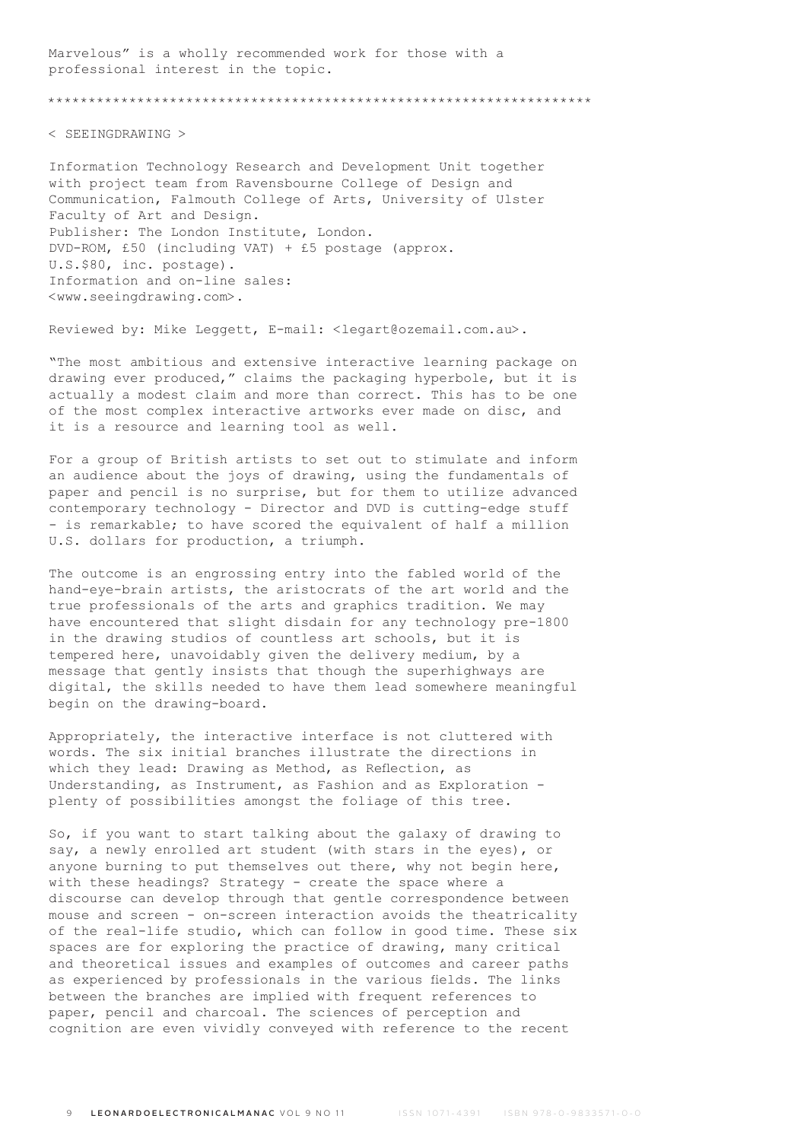Marvelous" is a wholly recommended work for those with a professional interest in the topic.

\*\*\*\*\*\*\*\*\*\*\*\*\*\*\*\*\*\*\*\*\*\*\*\*\*\*\*\*\*\*\*\*\*\*\*\*\*\*\*\*\*\*\*\*\*\*\*\*\*\*\*\*\*\*\*\*\*\*\*\*\*\*\*\*\*\*\*

< SEEINGDRAWING >

Information Technology Research and Development Unit together with project team from Ravensbourne College of Design and Communication, Falmouth College of Arts, University of Ulster Faculty of Art and Design. Publisher: The London Institute, London. DVD-ROM, £50 (including VAT) + £5 postage (approx. U.S.\$80, inc. postage). Information and on-line sales: <www.seeingdrawing.com>.

Reviewed by: Mike Leggett, E-mail: <legart@ozemail.com.au>.

"The most ambitious and extensive interactive learning package on drawing ever produced," claims the packaging hyperbole, but it is actually a modest claim and more than correct. This has to be one of the most complex interactive artworks ever made on disc, and it is a resource and learning tool as well.

For a group of British artists to set out to stimulate and inform an audience about the joys of drawing, using the fundamentals of paper and pencil is no surprise, but for them to utilize advanced contemporary technology - Director and DVD is cutting-edge stuff - is remarkable; to have scored the equivalent of half a million U.S. dollars for production, a triumph.

The outcome is an engrossing entry into the fabled world of the hand-eye-brain artists, the aristocrats of the art world and the true professionals of the arts and graphics tradition. We may have encountered that slight disdain for any technology pre-1800 in the drawing studios of countless art schools, but it is tempered here, unavoidably given the delivery medium, by a message that gently insists that though the superhighways are digital, the skills needed to have them lead somewhere meaningful begin on the drawing-board.

Appropriately, the interactive interface is not cluttered with words. The six initial branches illustrate the directions in which they lead: Drawing as Method, as Reflection, as Understanding, as Instrument, as Fashion and as Exploration plenty of possibilities amongst the foliage of this tree.

So, if you want to start talking about the galaxy of drawing to say, a newly enrolled art student (with stars in the eyes), or anyone burning to put themselves out there, why not begin here, with these headings? Strategy - create the space where a discourse can develop through that gentle correspondence between mouse and screen - on-screen interaction avoids the theatricality of the real-life studio, which can follow in good time. These six spaces are for exploring the practice of drawing, many critical and theoretical issues and examples of outcomes and career paths as experienced by professionals in the various fields. The links between the branches are implied with frequent references to paper, pencil and charcoal. The sciences of perception and cognition are even vividly conveyed with reference to the recent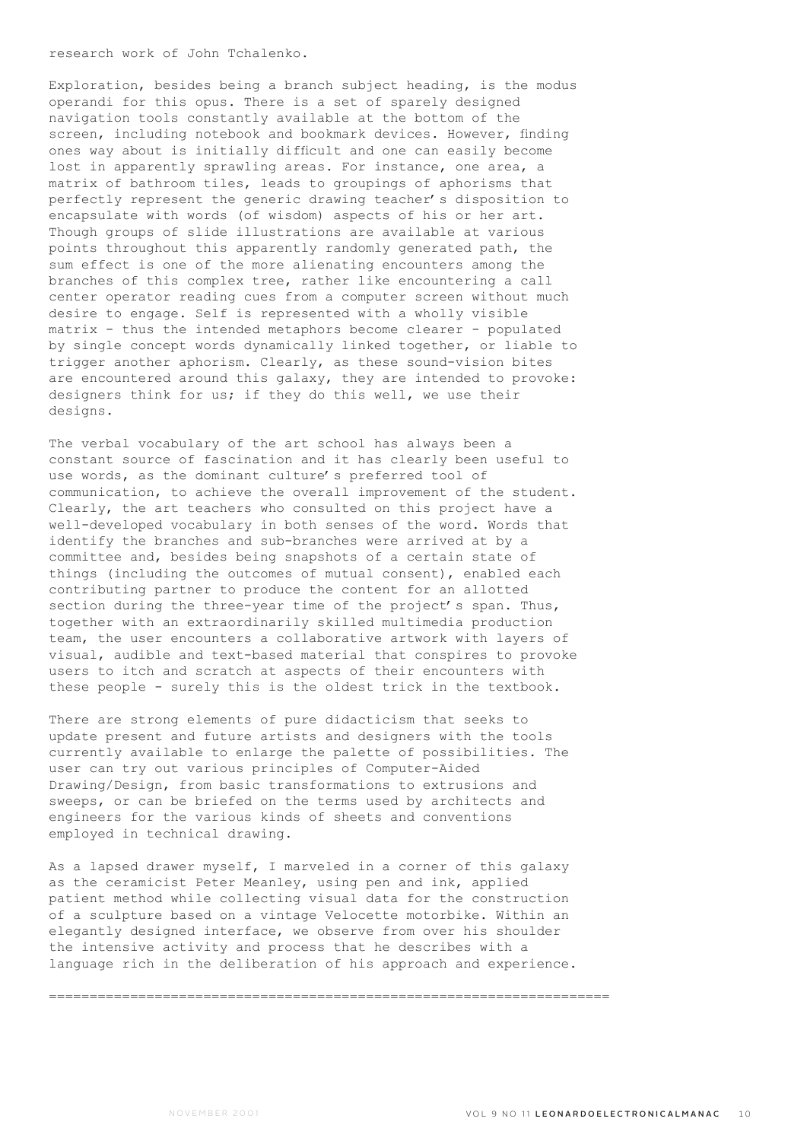research work of John Tchalenko.

Exploration, besides being a branch subject heading, is the modus operandi for this opus. There is a set of sparely designed navigation tools constantly available at the bottom of the screen, including notebook and bookmark devices. However, finding ones way about is initially difficult and one can easily become lost in apparently sprawling areas. For instance, one area, a matrix of bathroom tiles, leads to groupings of aphorisms that perfectly represent the generic drawing teacher's disposition to encapsulate with words (of wisdom) aspects of his or her art. Though groups of slide illustrations are available at various points throughout this apparently randomly generated path, the sum effect is one of the more alienating encounters among the branches of this complex tree, rather like encountering a call center operator reading cues from a computer screen without much desire to engage. Self is represented with a wholly visible matrix - thus the intended metaphors become clearer - populated by single concept words dynamically linked together, or liable to trigger another aphorism. Clearly, as these sound-vision bites are encountered around this galaxy, they are intended to provoke: designers think for us; if they do this well, we use their designs.

The verbal vocabulary of the art school has always been a constant source of fascination and it has clearly been useful to use words, as the dominant culture's preferred tool of communication, to achieve the overall improvement of the student. Clearly, the art teachers who consulted on this project have a well-developed vocabulary in both senses of the word. Words that identify the branches and sub-branches were arrived at by a committee and, besides being snapshots of a certain state of things (including the outcomes of mutual consent), enabled each contributing partner to produce the content for an allotted section during the three-year time of the project's span. Thus, together with an extraordinarily skilled multimedia production team, the user encounters a collaborative artwork with layers of visual, audible and text-based material that conspires to provoke users to itch and scratch at aspects of their encounters with these people - surely this is the oldest trick in the textbook.

There are strong elements of pure didacticism that seeks to update present and future artists and designers with the tools currently available to enlarge the palette of possibilities. The user can try out various principles of Computer-Aided Drawing/Design, from basic transformations to extrusions and sweeps, or can be briefed on the terms used by architects and engineers for the various kinds of sheets and conventions employed in technical drawing.

As a lapsed drawer myself, I marveled in a corner of this galaxy as the ceramicist Peter Meanley, using pen and ink, applied patient method while collecting visual data for the construction of a sculpture based on a vintage Velocette motorbike. Within an elegantly designed interface, we observe from over his shoulder the intensive activity and process that he describes with a language rich in the deliberation of his approach and experience.

=====================================================================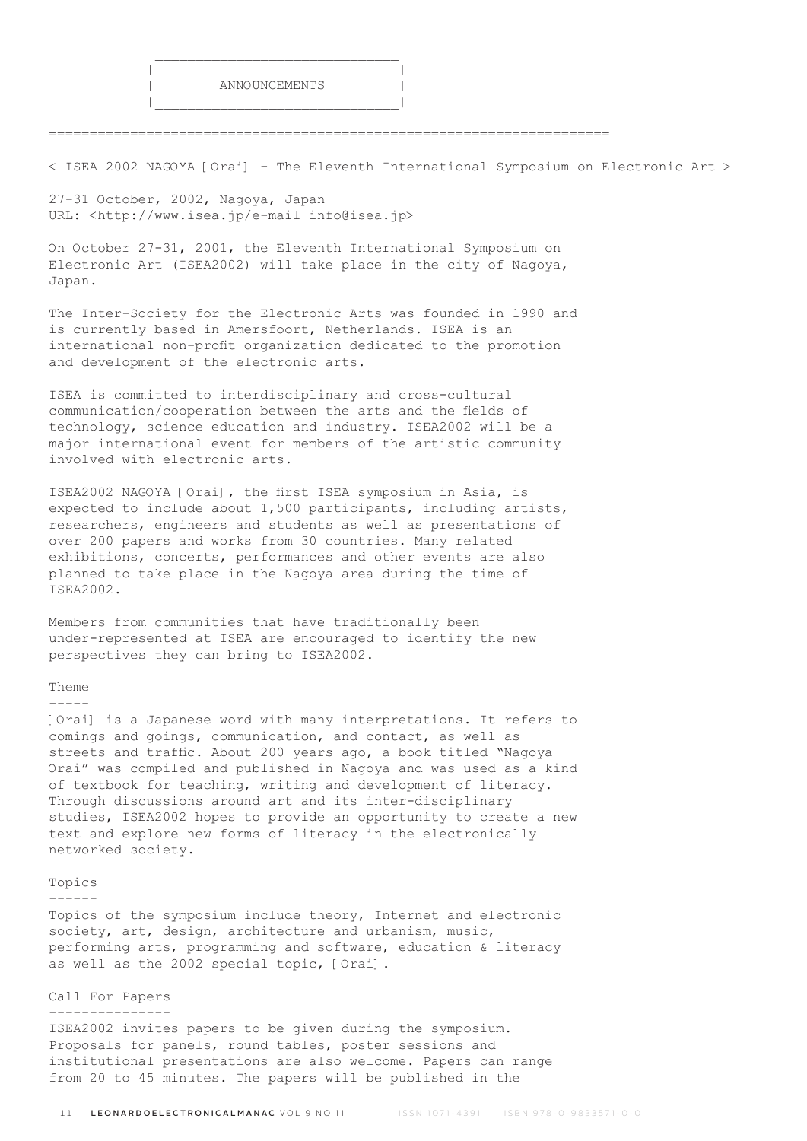=====================================================================

< ISEA 2002 NAGOYA [Orai] - The Eleventh International Symposium on Electronic Art >

27-31 October, 2002, Nagoya, Japan URL: <http://www.isea.jp/e-mail info@isea.jp>

 $\mathcal{L}_\text{max}$  and  $\mathcal{L}_\text{max}$  and  $\mathcal{L}_\text{max}$  and  $\mathcal{L}_\text{max}$  and  $\mathcal{L}_\text{max}$ 

|\_\_\_\_\_\_\_\_\_\_\_\_\_\_\_\_\_\_\_\_\_\_\_\_\_\_\_\_\_\_|

On October 27-31, 2001, the Eleventh International Symposium on Electronic Art (ISEA2002) will take place in the city of Nagoya, Japan.

The Inter-Society for the Electronic Arts was founded in 1990 and is currently based in Amersfoort, Netherlands. ISEA is an international non-profit organization dedicated to the promotion and development of the electronic arts.

ISEA is committed to interdisciplinary and cross-cultural communication/cooperation between the arts and the fields of technology, science education and industry. ISEA2002 will be a major international event for members of the artistic community involved with electronic arts.

ISEA2002 NAGOYA [Orai], the first ISEA symposium in Asia, is expected to include about 1,500 participants, including artists, researchers, engineers and students as well as presentations of over 200 papers and works from 30 countries. Many related exhibitions, concerts, performances and other events are also planned to take place in the Nagoya area during the time of ISEA2002.

Members from communities that have traditionally been under-represented at ISEA are encouraged to identify the new perspectives they can bring to ISEA2002.

## Theme

-----

[Orai] is a Japanese word with many interpretations. It refers to comings and goings, communication, and contact, as well as streets and traffic. About 200 years ago, a book titled "Nagoya Orai" was compiled and published in Nagoya and was used as a kind of textbook for teaching, writing and development of literacy. Through discussions around art and its inter-disciplinary studies, ISEA2002 hopes to provide an opportunity to create a new text and explore new forms of literacy in the electronically networked society.

# Topics

------

Topics of the symposium include theory, Internet and electronic society, art, design, architecture and urbanism, music, performing arts, programming and software, education & literacy as well as the 2002 special topic, [Orai].

### Call For Papers

---------------

ISEA2002 invites papers to be given during the symposium. Proposals for panels, round tables, poster sessions and institutional presentations are also welcome. Papers can range from 20 to 45 minutes. The papers will be published in the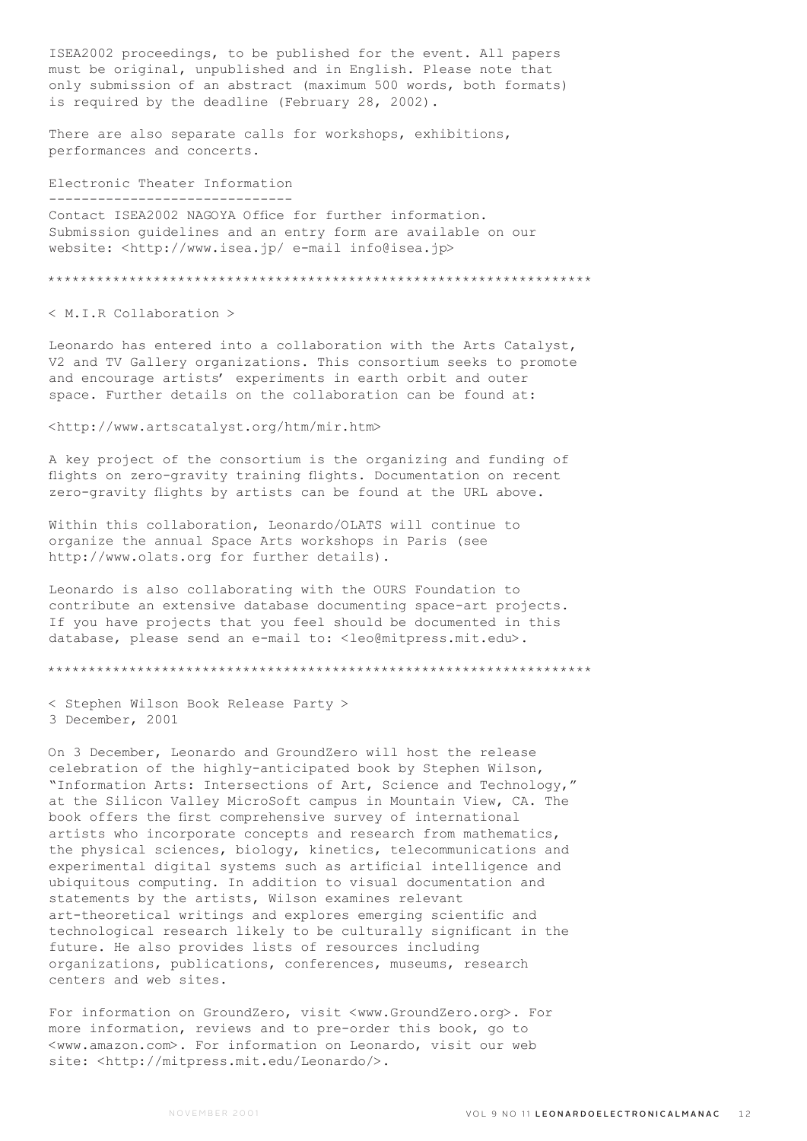ISEA2002 proceedings, to be published for the event. All papers must be original, unpublished and in English. Please note that only submission of an abstract (maximum 500 words, both formats) is required by the deadline (February 28, 2002).

There are also separate calls for workshops, exhibitions, performances and concerts.

## Electronic Theater Information ------------------------------

Contact ISEA2002 NAGOYA Office for further information. Submission guidelines and an entry form are available on our website: <http://www.isea.jp/ e-mail info@isea.jp>

\*\*\*\*\*\*\*\*\*\*\*\*\*\*\*\*\*\*\*\*\*\*\*\*\*\*\*\*\*\*\*\*\*\*\*\*\*\*\*\*\*\*\*\*\*\*\*\*\*\*\*\*\*\*\*\*\*\*\*\*\*\*\*\*\*\*\*

< M.I.R Collaboration >

Leonardo has entered into a collaboration with the Arts Catalyst, V2 and TV Gallery organizations. This consortium seeks to promote and encourage artists' experiments in earth orbit and outer space. Further details on the collaboration can be found at:

<http://www.artscatalyst.org/htm/mir.htm>

A key project of the consortium is the organizing and funding of flights on zero-gravity training flights. Documentation on recent zero-gravity flights by artists can be found at the URL above.

Within this collaboration, Leonardo/OLATS will continue to organize the annual Space Arts workshops in Paris (see http://www.olats.org for further details).

Leonardo is also collaborating with the OURS Foundation to contribute an extensive database documenting space-art projects. If you have projects that you feel should be documented in this database, please send an e-mail to: <leo@mitpress.mit.edu>.

\*\*\*\*\*\*\*\*\*\*\*\*\*\*\*\*\*\*\*\*\*\*\*\*\*\*\*\*\*\*\*\*\*\*\*\*\*\*\*\*\*\*\*\*\*\*\*\*\*\*\*\*\*\*\*\*\*\*\*\*\*\*\*\*\*\*\*

< Stephen Wilson Book Release Party > 3 December, 2001

On 3 December, Leonardo and GroundZero will host the release celebration of the highly-anticipated book by Stephen Wilson, "Information Arts: Intersections of Art, Science and Technology," at the Silicon Valley MicroSoft campus in Mountain View, CA. The book offers the first comprehensive survey of international artists who incorporate concepts and research from mathematics, the physical sciences, biology, kinetics, telecommunications and experimental digital systems such as artificial intelligence and ubiquitous computing. In addition to visual documentation and statements by the artists, Wilson examines relevant art-theoretical writings and explores emerging scientific and technological research likely to be culturally significant in the future. He also provides lists of resources including organizations, publications, conferences, museums, research centers and web sites.

For information on GroundZero, visit <www.GroundZero.org>. For more information, reviews and to pre-order this book, go to <www.amazon.com>. For information on Leonardo, visit our web site: <http://mitpress.mit.edu/Leonardo/>.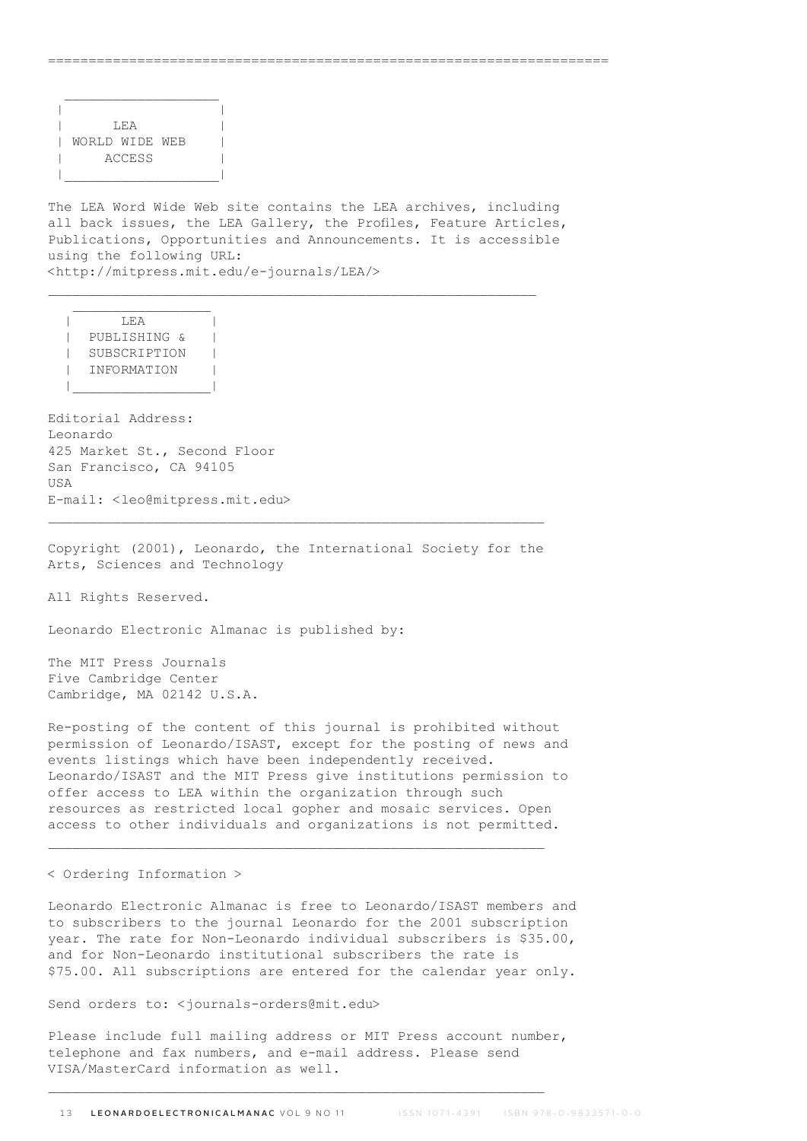| | | LEA | | | WORLD WIDE WEB | | ACCESS | |\_\_\_\_\_\_\_\_\_\_\_\_\_\_\_\_\_\_\_|

The LEA Word Wide Web site contains the LEA archives, including all back issues, the LEA Gallery, the Profiles, Feature Articles, Publications, Opportunities and Announcements. It is accessible using the following URL: <http://mitpress.mit.edu/e-journals/LEA/>

=====================================================================

 $\overline{\phantom{a}}$   $\overline{\phantom{a}}$   $\overline{\phantom{a}}$   $\overline{\phantom{a}}$   $\overline{\phantom{a}}$   $\overline{\phantom{a}}$   $\overline{\phantom{a}}$   $\overline{\phantom{a}}$   $\overline{\phantom{a}}$   $\overline{\phantom{a}}$   $\overline{\phantom{a}}$   $\overline{\phantom{a}}$   $\overline{\phantom{a}}$   $\overline{\phantom{a}}$   $\overline{\phantom{a}}$   $\overline{\phantom{a}}$   $\overline{\phantom{a}}$   $\overline{\phantom{a}}$   $\overline{\$  | PUBLISHING & | | SUBSCRIPTION | | INFORMATION | |\_\_\_\_\_\_\_\_\_\_\_\_\_\_\_\_\_|

Editorial Address: Leonardo 425 Market St., Second Floor San Francisco, CA 94105 **IISA** E-mail: <leo@mitpress.mit.edu>

Copyright (2001), Leonardo, the International Society for the Arts, Sciences and Technology

All Rights Reserved.

Leonardo Electronic Almanac is published by:

The MIT Press Journals Five Cambridge Center Cambridge, MA 02142 U.S.A.

Re-posting of the content of this journal is prohibited without permission of Leonardo/ISAST, except for the posting of news and events listings which have been independently received. Leonardo/ISAST and the MIT Press give institutions permission to offer access to LEA within the organization through such resources as restricted local gopher and mosaic services. Open access to other individuals and organizations is not permitted.

< Ordering Information >

Leonardo Electronic Almanac is free to Leonardo/ISAST members and to subscribers to the journal Leonardo for the 2001 subscription year. The rate for Non-Leonardo individual subscribers is \$35.00, and for Non-Leonardo institutional subscribers the rate is \$75.00. All subscriptions are entered for the calendar year only.

Send orders to: <journals-orders@mit.edu>

Please include full mailing address or MIT Press account number, telephone and fax numbers, and e-mail address. Please send VISA/MasterCard information as well.

 $\_$  , and the set of the set of the set of the set of the set of the set of the set of the set of the set of the set of the set of the set of the set of the set of the set of the set of the set of the set of the set of th